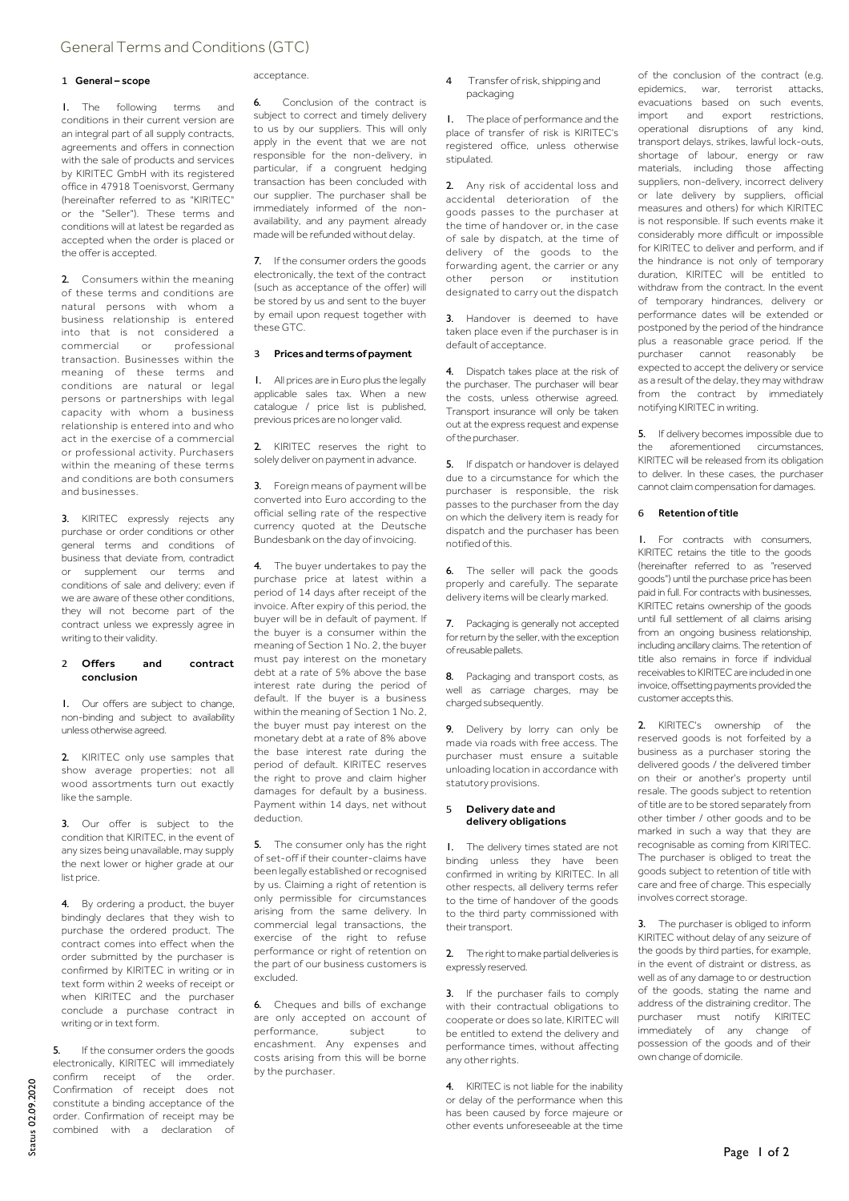# General Terms and Conditions (GTC)

### 1 General – scope

1. The following terms and conditions in their current version are an integral part of all supply contracts, agreements and offers in connection with the sale of products and services by KIRITEC GmbH with its registered office in 47918 Toenisvorst, Germany (hereinafter referred to as "KIRITEC" or the "Seller"). These terms and conditions will at latest be regarded as accepted when the order is placed or the offer is accepted.

2. Consumers within the meaning of these terms and conditions are natural persons with whom a business relationship is entered into that is not considered a commercial or professional transaction. Businesses within the meaning of these terms and conditions are natural or legal persons or partnerships with legal capacity with whom a business relationship is entered into and who act in the exercise of a commercial or professional activity. Purchasers within the meaning of these terms and conditions are both consumers and businesses.

3. KIRITEC expressly rejects any purchase or order conditions or other general terms and conditions of business that deviate from, contradict or supplement our terms and conditions of sale and delivery; even if we are aware of these other conditions. they will not become part of the contract unless we expressly agree in writing to their validity.

### 2 Offers and contract conclusion

1. Our offers are subject to change, non-binding and subject to availability unless otherwise agreed.

2. KIRITEC only use samples that show average properties; not all wood assortments turn out exactly like the sample.

3. Our offer is subject to the condition that KIRITEC, in the event of any sizes being unavailable, may supply the next lower or higher grade at our list price.

4. By ordering a product, the buyer bindingly declares that they wish to purchase the ordered product. The contract comes into effect when the order submitted by the purchaser is confirmed by KIRITEC in writing or in text form within 2 weeks of receipt or when KIRITEC and the purchaser conclude a purchase contract in writing or in text form.

5. If the consumer orders the goods electronically, KIRITEC will immediately confirm receipt of the order. Confirmation of receipt does not constitute a binding acceptance of the order. Confirmation of receipt may be combined with a declaration of

## acceptance.

6. Conclusion of the contract is subject to correct and timely delivery to us by our suppliers. This will only apply in the event that we are not responsible for the non-delivery, in particular, if a congruent hedging transaction has been concluded with our supplier. The purchaser shall be immediately informed of the nonavailability, and any payment already made will be refunded without delay.

7. If the consumer orders the goods electronically, the text of the contract (such as acceptance of the offer) will be stored by us and sent to the buyer by email upon request together with these GTC.

## 3 Prices and terms of payment

1. All prices are in Euro plus the legally applicable sales tax. When a new catalogue / price list is published, previous prices are no longer valid.

2. KIRITEC reserves the right to solely deliver on payment in advance.

3. Foreign means of payment will be converted into Euro according to the official selling rate of the respective currency quoted at the Deutsche Bundesbank on the day of invoicing.

4. The buyer undertakes to pay the purchase price at latest within a period of 14 days after receipt of the invoice. After expiry of this period, the buyer will be in default of payment. If the buyer is a consumer within the meaning of Section 1 No. 2, the buyer must pay interest on the monetary debt at a rate of 5% above the base interest rate during the period of default. If the buyer is a business within the meaning of Section 1 No. 2, the buyer must pay interest on the monetary debt at a rate of 8% above the base interest rate during the period of default. KIRITEC reserves the right to prove and claim higher damages for default by a business. Payment within 14 days, net without deduction.

5. The consumer only has the right of set-off if their counter-claims have been legally established or recognised by us. Claiming a right of retention is only permissible for circumstances arising from the same delivery. In commercial legal transactions, the exercise of the right to refuse performance or right of retention on the part of our business customers is excluded.

6. Cheques and bills of exchange are only accepted on account of performance, subject to encashment. Any expenses and costs arising from this will be borne by the purchaser.

4 Transfer of risk, shipping and packaging

1. The place of performance and the place of transfer of risk is KIRITEC's registered office, unless otherwise stipulated.

2. Any risk of accidental loss and accidental deterioration of the goods passes to the purchaser at the time of handover or, in the case of sale by dispatch, at the time of delivery of the goods to the forwarding agent, the carrier or any other person or institution designated to carry out the dispatch

3. Handover is deemed to have taken place even if the purchaser is in default of acceptance.

4. Dispatch takes place at the risk of the purchaser. The purchaser will bear the costs, unless otherwise agreed. Transport insurance will only be taken out at the express request and expense of the purchaser.

5. If dispatch or handover is delayed due to a circumstance for which the purchaser is responsible, the risk passes to the purchaser from the day on which the delivery item is ready for dispatch and the purchaser has been notified of this.

6. The seller will pack the goods properly and carefully. The separate delivery items will be clearly marked.

7. Packaging is generally not accepted for return by the seller, with the exception of reusable pallets.

8. Packaging and transport costs, as well as carriage charges, may be charged subsequently.

9. Delivery by lorry can only be made via roads with free access. The purchaser must ensure a suitable unloading location in accordance with statutory provisions.

### 5 Delivery date and delivery obligations

1. The delivery times stated are not binding unless they have been confirmed in writing by KIRITEC. In all other respects, all delivery terms refer to the time of handover of the goods to the third party commissioned with their transport.

2. The right to make partial deliveries is expressly reserved.

3. If the purchaser fails to comply with their contractual obligations to cooperate or does so late, KIRITEC will be entitled to extend the delivery and performance times, without affecting any other rights.

4. KIRITEC is not liable for the inability or delay of the performance when this has been caused by force majeure or other events unforeseeable at the time

of the conclusion of the contract (e.g. epidemics, war, terrorist attacks, evacuations based on such events, import and export restrictions, operational disruptions of any kind, transport delays, strikes, lawful lock-outs, shortage of labour, energy or raw materials, including those affecting suppliers, non-delivery, incorrect delivery or late delivery by suppliers, official measures and others) for which KIRITEC is not responsible. If such events make it considerably more difficult or impossible for KIRITEC to deliver and perform, and if the hindrance is not only of temporary duration, KIRITEC will be entitled to withdraw from the contract. In the event of temporary hindrances, delivery or performance dates will be extended or postponed by the period of the hindrance plus a reasonable grace period. If the purchaser cannot reasonably be expected to accept the delivery or service as a result of the delay, they may withdraw from the contract by immediately notifying KIRITEC in writing.

5. If delivery becomes impossible due to the aforementioned circumstances, KIRITEC will be released from its obligation to deliver. In these cases, the purchaser cannot claim compensation for damages.

## 6 Retention of title

1. For contracts with consumers, KIRITEC retains the title to the goods (hereinafter referred to as "reserved goods") until the purchase price has been paid in full. For contracts with businesses, KIRITEC retains ownership of the goods until full settlement of all claims arising from an ongoing business relationship, including ancillary claims. The retention of title also remains in force if individual receivables to KIRITEC are included in one invoice, offsetting payments provided the customer accepts this.

2. KIRITEC's ownership of the reserved goods is not forfeited by a business as a purchaser storing the delivered goods / the delivered timber on their or another's property until resale. The goods subject to retention of title are to be stored separately from other timber / other goods and to be marked in such a way that they are recognisable as coming from KIRITEC. The purchaser is obliged to treat the goods subject to retention of title with care and free of charge. This especially involves correct storage.

The purchaser is obliged to inform KIRITEC without delay of any seizure of the goods by third parties, for example, in the event of distraint or distress, as well as of any damage to or destruction of the goods, stating the name and address of the distraining creditor. The purchaser must notify KIRITEC immediately of any change of possession of the goods and of their own change of domicile.

Page 1 of 2